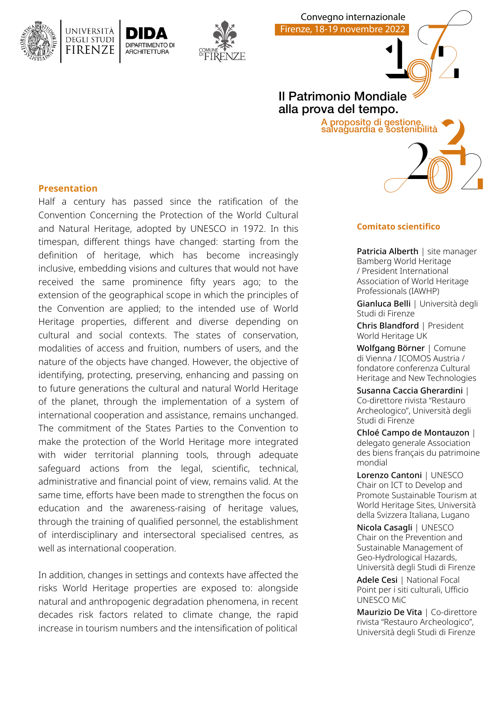



# Mondiale Il Patrimonio Mondiale alla prova del tempo.

Convegno internazionale Firenze, 18-19 novembre 2022

one,<br>enibîlità<br>20 2 A proposito di gestione, salvaguardia e sostenibilità

# **Presentation**

Half a century has passed since the ratification of the Convention Concerning the Protection of the World Cultural and Natural Heritage, adopted by UNESCO in 1972. In this timespan, different things have changed: starting from the definition of heritage, which has become increasingly inclusive, embedding visions and cultures that would not have received the same prominence fifty years ago; to the extension of the geographical scope in which the principles of the Convention are applied; to the intended use of World Heritage properties, different and diverse depending on cultural and social contexts. The states of conservation, modalities of access and fruition, numbers of users, and the nature of the objects have changed. However, the objective of identifying, protecting, preserving, enhancing and passing on to future generations the cultural and natural World Heritage of the planet, through the implementation of a system of international cooperation and assistance, remains unchanged. The commitment of the States Parties to the Convention to make the protection of the World Heritage more integrated with wider territorial planning tools, through adequate safeguard actions from the legal, scientific, technical, administrative and financial point of view, remains valid. At the same time, efforts have been made to strengthen the focus on education and the awareness-raising of heritage values, through the training of qualified personnel, the establishment of interdisciplinary and intersectoral specialised centres, as well as international cooperation.

In addition, changes in settings and contexts have affected the risks World Heritage properties are exposed to: alongside natural and anthropogenic degradation phenomena, in recent decades risk factors related to climate change, the rapid increase in tourism numbers and the intensification of political

### **Comitato scientifico**

Patricia Alberth | site manager Bamberg World Heritage / President International Association of World Heritage Professionals (IAWHP)

7

0

Gianluca Belli | Università degli Studi di Firenze

Chris Blandford | President World Heritage UK

Wolfgang Börner | Comune di Vienna / ICOMOS Austria / fondatore conferenza Cultural Heritage and New Technologies

Susanna Caccia Gherardini | Co-direttore rivista "Restauro Archeologico", Università degli Studi di Firenze

Chloé Campo de Montauzon | delegato generale Association des biens français du patrimoine mondial

Lorenzo Cantoni | UNESCO Chair on ICT to Develop and Promote Sustainable Tourism at World Heritage Sites, Università della Svizzera Italiana, Lugano

Nicola Casagli | UNESCO Chair on the Prevention and Sustainable Management of Geo-Hydrological Hazards, Università degli Studi di Firenze

Adele Cesi | National Focal Point per i siti culturali, Ufficio UNESCO MiC

Maurizio De Vita | Co-direttore rivista "Restauro Archeologico", Università degli Studi di Firenze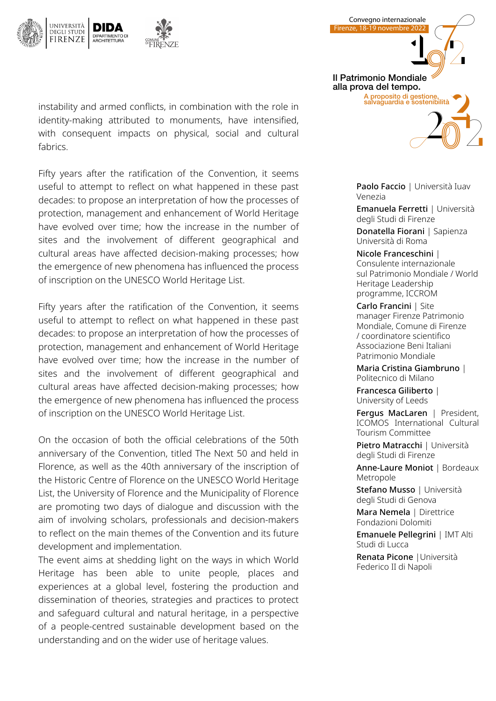

instability and armed conflicts, in combination with the role in identity-making attributed to monuments, have intensified, with consequent impacts on physical, social and cultural fabrics.

Fifty years after the ratification of the Convention, it seems useful to attempt to reflect on what happened in these past decades: to propose an interpretation of how the processes of protection, management and enhancement of World Heritage have evolved over time; how the increase in the number of sites and the involvement of different geographical and cultural areas have affected decision-making processes; how the emergence of new phenomena has influenced the process of inscription on the UNESCO World Heritage List.

Fifty years after the ratification of the Convention, it seems useful to attempt to reflect on what happened in these past decades: to propose an interpretation of how the processes of protection, management and enhancement of World Heritage have evolved over time; how the increase in the number of sites and the involvement of different geographical and cultural areas have affected decision-making processes; how the emergence of new phenomena has influenced the process of inscription on the UNESCO World Heritage List.

On the occasion of both the official celebrations of the 50th anniversary of the Convention, titled The Next 50 and held in Florence, as well as the 40th anniversary of the inscription of the Historic Centre of Florence on the UNESCO World Heritage List, the University of Florence and the Municipality of Florence are promoting two days of dialogue and discussion with the aim of involving scholars, professionals and decision-makers to reflect on the main themes of the Convention and its future development and implementation.

The event aims at shedding light on the ways in which World Heritage has been able to unite people, places and experiences at a global level, fostering the production and dissemination of theories, strategies and practices to protect and safeguard cultural and natural heritage, in a perspective of a people-centred sustainable development based on the understanding and on the wider use of heritage values.

Mondiale 0 one,<br>**20** A proposito di gestione,<br>salvaguardia e sostenibilità Il Patrimonio Mondiale alla prova del tempo.

Convegno internazionale Firenze, 18-19 novembre 2022

7

Paolo Faccio | Università Iuav Venezia

Emanuela Ferretti | Università degli Studi di Firenze

Donatella Fiorani | Sapienza Università di Roma

Nicole Franceschini | Consulente internazionale sul Patrimonio Mondiale / World Heritage Leadership programme, ICCROM

Carlo Francini | Site manager Firenze Patrimonio Mondiale, Comune di Firenze / coordinatore scientifico Associazione Beni Italiani Patrimonio Mondiale

Maria Cristina Giambruno | Politecnico di Milano

Francesca Giliberto | University of Leeds

Fergus MacLaren | President, ICOMOS International Cultural Tourism Committee

Pietro Matracchi | Università degli Studi di Firenze

Anne-Laure Moniot | Bordeaux Metropole

Stefano Musso | Università degli Studi di Genova

Mara Nemela | Direttrice Fondazioni Dolomiti

Emanuele Pellegrini | IMT Alti Studi di Lucca

Renata Picone |Università Federico II di Napoli